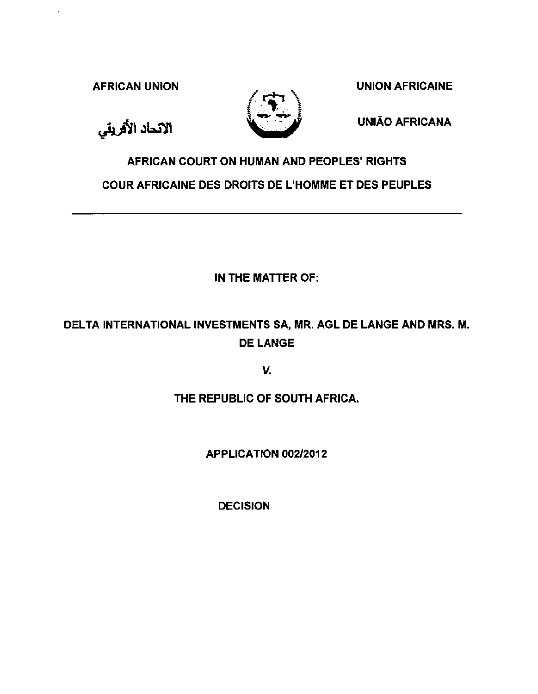الاتحاد الأفريقي



AFRICAN UNION NATURE AFRICAINE

UNIAO AFRICANA

# AFRICAN COURT ON HUMAN AND PEOPLES' RIGHTS COUR AFRICAINE DES DROITS DE L'HOMME ET DES PEUPLES

IN THE MATTER OF:

## DELTA INTERNATIONAL INVESTMENTS SA, MR. AGL DE LANGE AND MRS. M. DE LANGE

*v.* 

## THE REPUBLIC OF SOUTH AFRICA.

## APPLICATION 002/2012

DECISION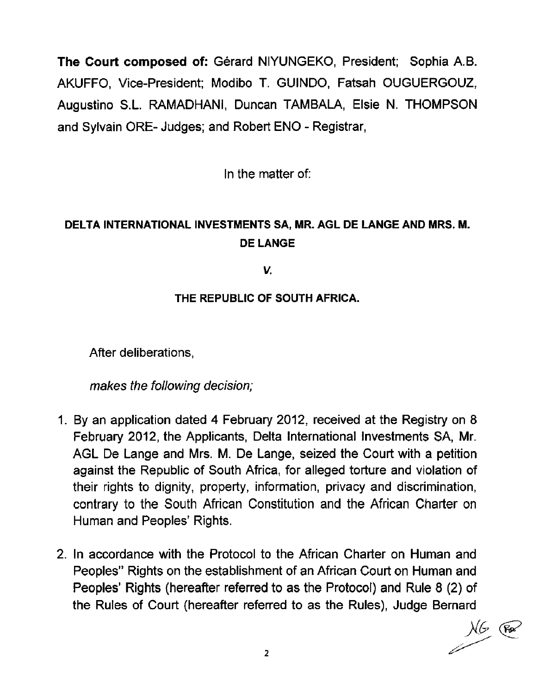The Court composed of: Gérard NIYUNGEKO, President; Sophia A.B. AKUFFO, Vice-President; Modibo T. GUINDO, Fatsah OUGUERGOUZ, Augustine S.L. RAMADHANI, Duncan TAMBALA, Elsie N. THOMPSON and Sylvain ORE- Judges; and Robert ENO - Registrar,

In the matter of:

## DELTA INTERNATIONAL INVESTMENTS SA, MR. AGL DE LANGE AND MRS. M. DE LANGE

v.

### THE REPUBLIC OF SOUTH AFRICA.

After deliberations,

makes the following decision;

- 1. By an application dated 4 February 2012, received at the Registry on 8 February 2012, the Applicants, Delta International Investments SA, Mr. AGL De Lange and Mrs. M. De Lange, seized the Court with a petition against the Republic of South Africa, for alleged torture and violation of their rights to dignity, property, information, privacy and discrimination, contrary to the South African Constitution and the African Charter on Human and Peoples' Rights.
- 2. In accordance with the Protocol to the African Charter on Human and Peoples" Rights on the establishment of an African Court on Human and Peoples' Rights (hereafter referred to as the Protocol) and Rule 8 (2) of the Rules of Court (hereafter referred to as the Rules), Judge Bernard<br>  $\frac{1}{2}$  (Fe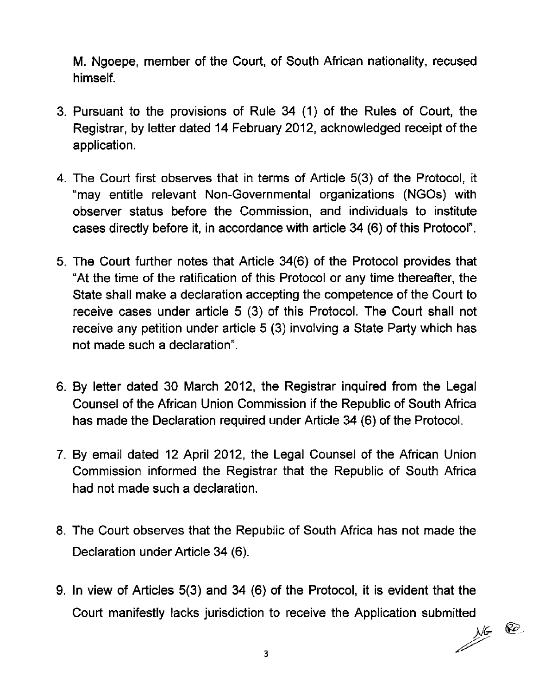M. Ngoepe, member of the Court, of South African nationality, recused himself.

- 3. Pursuant to the provisions of Rule 34 (1) of the Rules of Court, the Registrar, by letter dated 14 February 2012, acknowledged receipt of the application.
- 4. The Court first observes that in terms of Article 5(3) of the Protocol, it "may entitle relevant Non-Governmental organizations (NGOs) with observer status before the Commission, and individuals to institute cases directly before it, in accordance with article 34 (6) of this Protocol".
- 5. The Court further notes that Article 34(6) of the Protocol provides that "At the time of the ratification of this Protocol or any time thereafter, the State shall make a declaration accepting the competence of the Court to receive cases under article 5 (3) of this Protocol. The Court shall not receive any petition under article 5 (3) involving a State Party which has not made such a declaration".
- 6. By letter dated 30 March 2012, the Registrar inquired from the Legal Counsel of the African Union Commission if the Republic of South Africa has made the Declaration required under Article 34 (6) of the Protocol.
- 7. By email dated 12 April 2012, the Legal Counsel of the African Union Commission informed the Registrar that the Republic of South Africa had not made such a declaration.
- 8. The Court observes that the Republic of South Africa has not made the Declaration under Article 34 (6).
- 9. In view of Articles 5(3) and 34 (6) of the Protocol, it is evident that the Court manifestly lacks jurisdiction to receive the Application submitted

*/(@*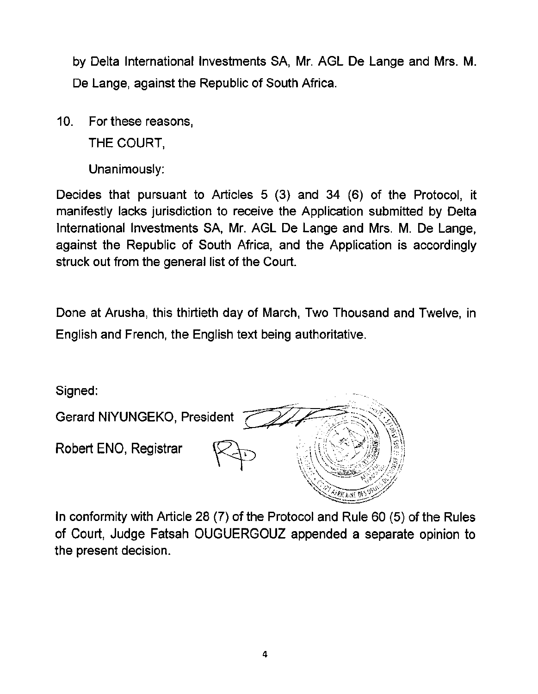by Delta International Investments SA, Mr. AGL De Lange and Mrs. M. De Lange, against the Republic of South Africa.

10. For these reasons,

THE COURT,

Unanimously:

Decides that pursuant to Articles 5 (3) and 34 (6) of the Protocol, it manifestly lacks jurisdiction to receive the Application submitted by Delta International Investments SA, Mr. AGL De Lange and Mrs. M. De Lange, against the Republic of South Africa, and the Application is accordingly struck out from the general list of the Court.

Done at Arusha, this thirtieth day of March, Two Thousand and Twelve, in English and French, the English text being authoritative.

Signed:



In conformity with Article 28 (7) of the Protocol and Rule 60 (5) of the Rules of Court, Judge Fatsah OUGUERGOUZ appended a separate opinion to the present decision.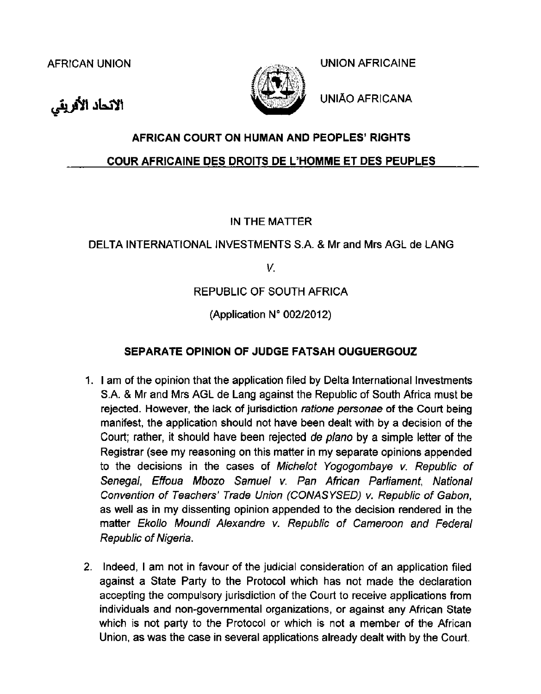الاتحاد الأفريقي



AFRICAN UNION ASSESSED UNION AFRICAINE

UNIAO AFRICANA

## **AFRICAN COURT ON HUMAN AND PEOPLES' RIGHTS**

#### **COUR AFRICAINE DES DROITS DE L'HOMME ET DES PEUPLES**

### IN THE MATIER

### DELTA INTERNATIONAL INVESTMENTS S.A. & Mr and Mrs AGL de LANG

*V.* 

### REPUBLIC OF SOUTH AFRICA

(Application  $N^{\circ}$  002/2012)

### **SEPARATE OPINION OF JUDGE FATSAH OUGUERGOUZ**

- 1. I am of the opinion that the application filed by Delta International Investments S.A. & Mr and Mrs AGL de Lang against the Republic of South Africa must be rejected. However, the lack of jurisdiction ratione personae of the Court being manifest, the application should not have been dealt with by a decision of the Court; rather, it should have been rejected de plano by a simple letter of the Registrar (see my reasoning on this matter in my separate opinions appended to the decisions in the cases of Michelot Yogogombaye v. Republic of Senegal, Effoua Mbozo Samuel v. Pan African Parliament, National Convention of Teachers' Trade Union (CONASYSED) v. Republic of Gabon, as well as in my dissenting opinion appended to the decision rendered in the matter Ekollo Moundi Alexandre v. Republic of Cameroon and Federal Republic of Nigeria.
- 2. Indeed, I am not in favour of the judicial consideration of an application filed against a State Party to the Protocol which has not made the declaration accepting the compulsory jurisdiction of the Court to receive applications from individuals and non-governmental organizations, or against any African State which is not party to the Protocol or which is not a member of the African Union, as was the case in several applications already dealt with by the Court.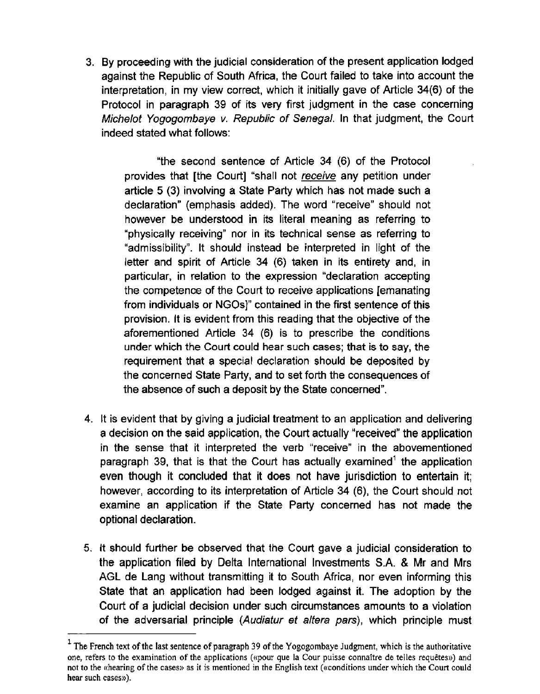3. By proceeding with the judicial consideration of the present application lodged against the Republic of South Africa, the Court failed to take into account the interpretation, in my view correct, which it initially gave of Article 34(6) of the Protocol in paragraph 39 of its very first judgment in the case concerning Michelot Yogogombaye v. Republic of Senegal. In that judgment, the Court indeed stated what follows:

"the second sentence of Article 34 (6) of the Protocol provides that [the Court] "shall not receive any petition under article 5 (3) involving a State Party which has not made such a declaration" (emphasis added). The word "receive" should not however be understood in its literal meaning as referring to "physically receiving" nor in its technical sense as referring to "admissibility". It should instead be interpreted in light of the letter and spirit of Article 34 (6) taken in its entirety and, in particular, in relation to the expression "declaration accepting the competence of the Court to receive applications [emanating from individuals or NGOs]" contained in the first sentence of this provision. It is evident from this reading that the objective of the aforementioned Article 34 (6) is to prescribe the conditions under which the Court could hear such cases; that is to say, the requirement that a special declaration should be deposited by the concerned State Party, and to set forth the consequences of the absence of such a deposit by the State concerned".

- 4. It is evident that by giving a judicial treatment to an application and delivering a decision on the said application, the Court actually "received" the application in the sense that it interpreted the verb "receive" in the abovementioned paragraph 39, that is that the Court has actually examined<sup>1</sup> the application even though it concluded that it does not have jurisdiction to entertain it; however, according to its interpretation of Article 34 (6), the Court should not examine an application if the State Party concerned has not made the optional declaration.
- 5. It should further be observed that the Court gave a judicial consideration to the application filed by Delta International Investments S.A. & Mr and Mrs AGL de Lang without transmitting it to South Africa, nor even informing this State that an application had been lodged against it. The adoption by the Court of a judicial decision under such circumstances amounts to a violation of the adversarial principle (Audiatur et altera pars), which principle must

 $<sup>1</sup>$  The French text of the last sentence of paragraph 39 of the Yogogombaye Judgment, which is the authoritative</sup> one, refers to the examination of the applications («pour que Ia Cour puisse connaltre de telles requetes») and not to the «hearing of the cases» as it is mentioned in the English text («conditions under which the Court could hear such cases»).